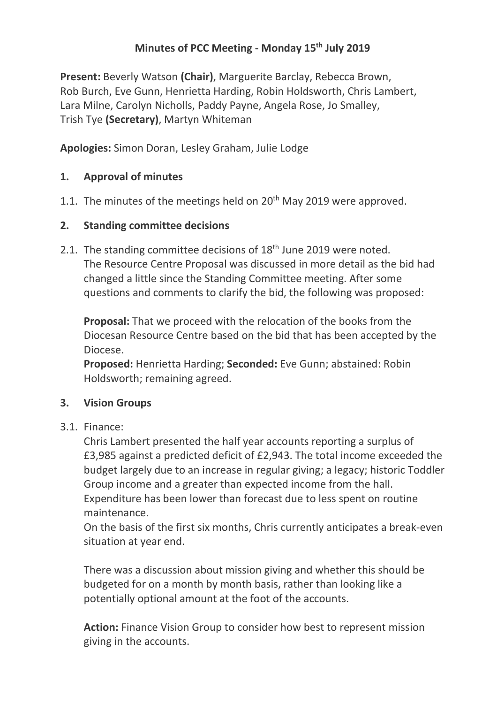# **Minutes of PCC Meeting - Monday 15th July 2019**

**Present:** Beverly Watson **(Chair)**, Marguerite Barclay, Rebecca Brown, Rob Burch, Eve Gunn, Henrietta Harding, Robin Holdsworth, Chris Lambert, Lara Milne, Carolyn Nicholls, Paddy Payne, Angela Rose, Jo Smalley, Trish Tye **(Secretary)**, Martyn Whiteman

**Apologies:** Simon Doran, Lesley Graham, Julie Lodge

## **1. Approval of minutes**

1.1. The minutes of the meetings held on  $20<sup>th</sup>$  May 2019 were approved.

### **2. Standing committee decisions**

2.1. The standing committee decisions of 18<sup>th</sup> June 2019 were noted. The Resource Centre Proposal was discussed in more detail as the bid had changed a little since the Standing Committee meeting. After some questions and comments to clarify the bid, the following was proposed:

**Proposal:** That we proceed with the relocation of the books from the Diocesan Resource Centre based on the bid that has been accepted by the Diocese.

**Proposed:** Henrietta Harding; **Seconded:** Eve Gunn; abstained: Robin Holdsworth; remaining agreed.

### **3. Vision Groups**

### 3.1. Finance:

Chris Lambert presented the half year accounts reporting a surplus of £3,985 against a predicted deficit of £2,943. The total income exceeded the budget largely due to an increase in regular giving; a legacy; historic Toddler Group income and a greater than expected income from the hall. Expenditure has been lower than forecast due to less spent on routine maintenance.

On the basis of the first six months, Chris currently anticipates a break-even situation at year end.

There was a discussion about mission giving and whether this should be budgeted for on a month by month basis, rather than looking like a potentially optional amount at the foot of the accounts.

**Action:** Finance Vision Group to consider how best to represent mission giving in the accounts.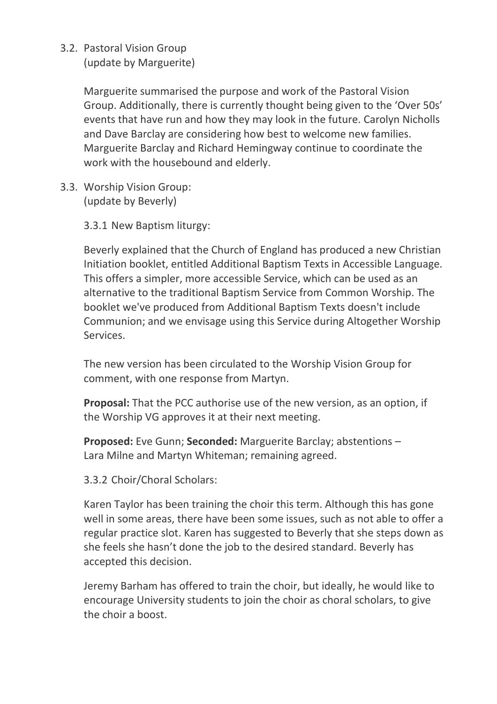## 3.2. Pastoral Vision Group

(update by Marguerite)

Marguerite summarised the purpose and work of the Pastoral Vision Group. Additionally, there is currently thought being given to the 'Over 50s' events that have run and how they may look in the future. Carolyn Nicholls and Dave Barclay are considering how best to welcome new families. Marguerite Barclay and Richard Hemingway continue to coordinate the work with the housebound and elderly.

3.3. Worship Vision Group: (update by Beverly)

3.3.1 New Baptism liturgy:

Beverly explained that the Church of England has produced a new Christian Initiation booklet, entitled Additional Baptism Texts in Accessible Language. This offers a simpler, more accessible Service, which can be used as an alternative to the traditional Baptism Service from Common Worship. The booklet we've produced from Additional Baptism Texts doesn't include Communion; and we envisage using this Service during Altogether Worship Services.

The new version has been circulated to the Worship Vision Group for comment, with one response from Martyn.

**Proposal:** That the PCC authorise use of the new version, as an option, if the Worship VG approves it at their next meeting.

**Proposed:** Eve Gunn; **Seconded:** Marguerite Barclay; abstentions – Lara Milne and Martyn Whiteman; remaining agreed.

3.3.2 Choir/Choral Scholars:

Karen Taylor has been training the choir this term. Although this has gone well in some areas, there have been some issues, such as not able to offer a regular practice slot. Karen has suggested to Beverly that she steps down as she feels she hasn't done the job to the desired standard. Beverly has accepted this decision.

Jeremy Barham has offered to train the choir, but ideally, he would like to encourage University students to join the choir as choral scholars, to give the choir a boost.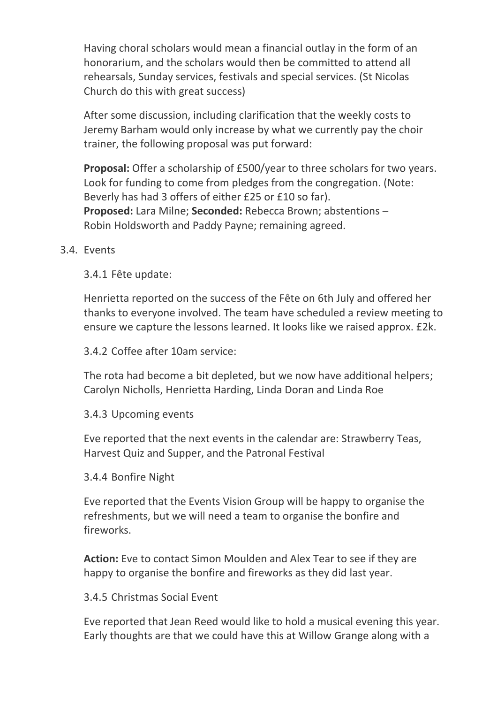Having choral scholars would mean a financial outlay in the form of an honorarium, and the scholars would then be committed to attend all rehearsals, Sunday services, festivals and special services. (St Nicolas Church do this with great success)

After some discussion, including clarification that the weekly costs to Jeremy Barham would only increase by what we currently pay the choir trainer, the following proposal was put forward:

**Proposal:** Offer a scholarship of £500/year to three scholars for two years. Look for funding to come from pledges from the congregation. (Note: Beverly has had 3 offers of either £25 or £10 so far). **Proposed:** Lara Milne; **Seconded:** Rebecca Brown; abstentions – Robin Holdsworth and Paddy Payne; remaining agreed.

#### 3.4. Events

3.4.1 Fête update:

Henrietta reported on the success of the Fête on 6th July and offered her thanks to everyone involved. The team have scheduled a review meeting to ensure we capture the lessons learned. It looks like we raised approx. £2k.

3.4.2 Coffee after 10am service:

The rota had become a bit depleted, but we now have additional helpers; Carolyn Nicholls, Henrietta Harding, Linda Doran and Linda Roe

#### 3.4.3 Upcoming events

Eve reported that the next events in the calendar are: Strawberry Teas, Harvest Quiz and Supper, and the Patronal Festival

#### 3.4.4 Bonfire Night

Eve reported that the Events Vision Group will be happy to organise the refreshments, but we will need a team to organise the bonfire and fireworks.

**Action:** Eve to contact Simon Moulden and Alex Tear to see if they are happy to organise the bonfire and fireworks as they did last year.

#### 3.4.5 Christmas Social Event

Eve reported that Jean Reed would like to hold a musical evening this year. Early thoughts are that we could have this at Willow Grange along with a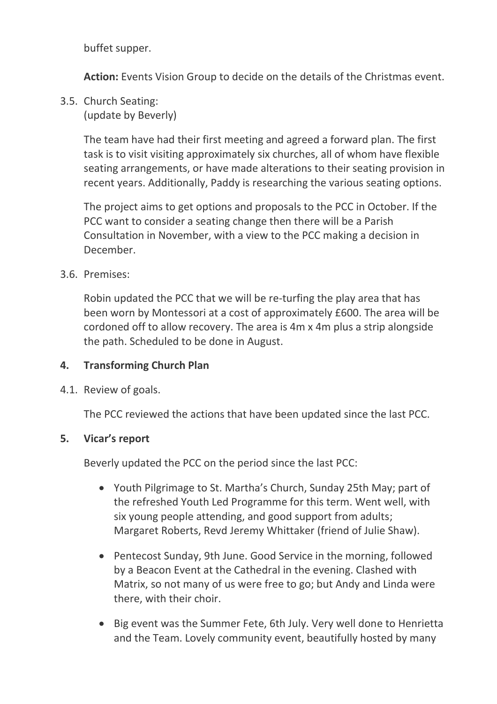buffet supper.

**Action:** Events Vision Group to decide on the details of the Christmas event.

3.5. Church Seating:

(update by Beverly)

The team have had their first meeting and agreed a forward plan. The first task is to visit visiting approximately six churches, all of whom have flexible seating arrangements, or have made alterations to their seating provision in recent years. Additionally, Paddy is researching the various seating options.

The project aims to get options and proposals to the PCC in October. If the PCC want to consider a seating change then there will be a Parish Consultation in November, with a view to the PCC making a decision in December.

### 3.6. Premises:

Robin updated the PCC that we will be re-turfing the play area that has been worn by Montessori at a cost of approximately £600. The area will be cordoned off to allow recovery. The area is 4m x 4m plus a strip alongside the path. Scheduled to be done in August.

### **4. Transforming Church Plan**

4.1. Review of goals.

The PCC reviewed the actions that have been updated since the last PCC.

### **5. Vicar's report**

Beverly updated the PCC on the period since the last PCC:

- Youth Pilgrimage to St. Martha's Church, Sunday 25th May; part of the refreshed Youth Led Programme for this term. Went well, with six young people attending, and good support from adults; Margaret Roberts, Revd Jeremy Whittaker (friend of Julie Shaw).
- Pentecost Sunday, 9th June. Good Service in the morning, followed by a Beacon Event at the Cathedral in the evening. Clashed with Matrix, so not many of us were free to go; but Andy and Linda were there, with their choir.
- Big event was the Summer Fete, 6th July. Very well done to Henrietta and the Team. Lovely community event, beautifully hosted by many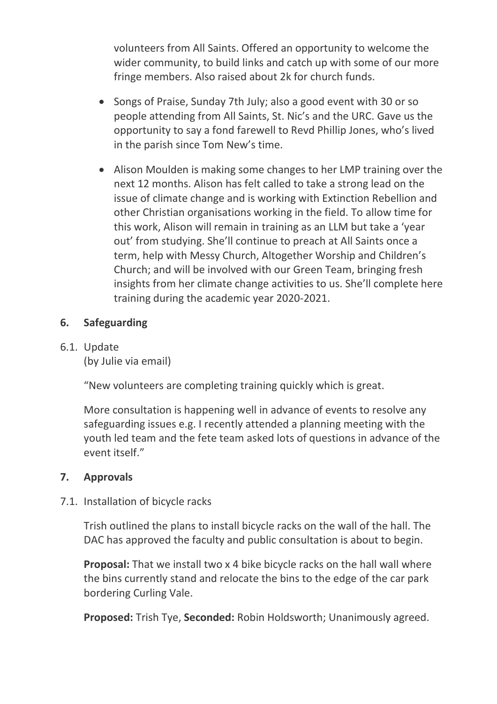volunteers from All Saints. Offered an opportunity to welcome the wider community, to build links and catch up with some of our more fringe members. Also raised about 2k for church funds.

- Songs of Praise, Sunday 7th July; also a good event with 30 or so people attending from All Saints, St. Nic's and the URC. Gave us the opportunity to say a fond farewell to Revd Phillip Jones, who's lived in the parish since Tom New's time.
- Alison Moulden is making some changes to her LMP training over the next 12 months. Alison has felt called to take a strong lead on the issue of climate change and is working with Extinction Rebellion and other Christian organisations working in the field. To allow time for this work, Alison will remain in training as an LLM but take a 'year out' from studying. She'll continue to preach at All Saints once a term, help with Messy Church, Altogether Worship and Children's Church; and will be involved with our Green Team, bringing fresh insights from her climate change activities to us. She'll complete here training during the academic year 2020-2021.

# **6. Safeguarding**

## 6.1. Update

(by Julie via email)

"New volunteers are completing training quickly which is great.

More consultation is happening well in advance of events to resolve any safeguarding issues e.g. I recently attended a planning meeting with the youth led team and the fete team asked lots of questions in advance of the event itself."

# **7. Approvals**

# 7.1. Installation of bicycle racks

Trish outlined the plans to install bicycle racks on the wall of the hall. The DAC has approved the faculty and public consultation is about to begin.

**Proposal:** That we install two x 4 bike bicycle racks on the hall wall where the bins currently stand and relocate the bins to the edge of the car park bordering Curling Vale.

**Proposed:** Trish Tye, **Seconded:** Robin Holdsworth; Unanimously agreed.